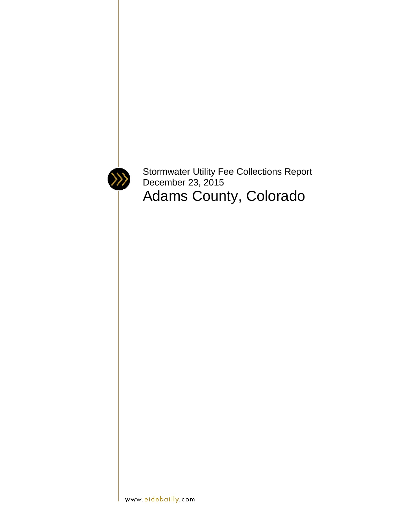

Stormwater Utility Fee Collections Report December 23, 2015 Adams County, Colorado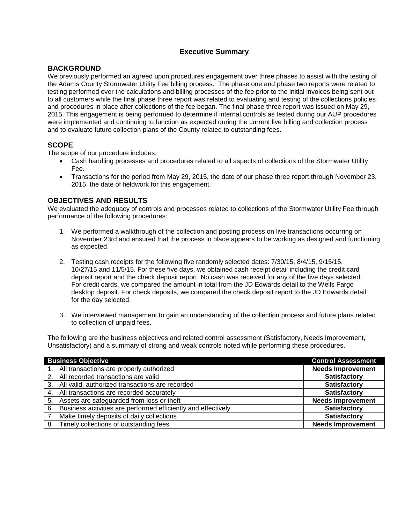# **Executive Summary**

## **BACKGROUND**

We previously performed an agreed upon procedures engagement over three phases to assist with the testing of the Adams County Stormwater Utility Fee billing process. The phase one and phase two reports were related to testing performed over the calculations and billing processes of the fee prior to the initial invoices being sent out to all customers while the final phase three report was related to evaluating and testing of the collections policies and procedures in place after collections of the fee began. The final phase three report was issued on May 29, 2015. This engagement is being performed to determine if internal controls as tested during our AUP procedures were implemented and continuing to function as expected during the current live billing and collection process and to evaluate future collection plans of the County related to outstanding fees.

## **SCOPE**

The scope of our procedure includes:

- Cash handling processes and procedures related to all aspects of collections of the Stormwater Utility Fee.
- Transactions for the period from May 29, 2015, the date of our phase three report through November 23, 2015, the date of fieldwork for this engagement.

## **OBJECTIVES AND RESULTS**

We evaluated the adequacy of controls and processes related to collections of the Stormwater Utility Fee through performance of the following procedures:

- 1. We performed a walkthrough of the collection and posting process on live transactions occurring on November 23rd and ensured that the process in place appears to be working as designed and functioning as expected.
- 2. Testing cash receipts for the following five randomly selected dates: 7/30/15, 8/4/15, 9/15/15, 10/27/15 and 11/5/15. For these five days, we obtained cash receipt detail including the credit card deposit report and the check deposit report. No cash was received for any of the five days selected. For credit cards, we compared the amount in total from the JD Edwards detail to the Wells Fargo desktop deposit. For check deposits, we compared the check deposit report to the JD Edwards detail for the day selected.
- 3. We interviewed management to gain an understanding of the collection process and future plans related to collection of unpaid fees.

The following are the business objectives and related control assessment (Satisfactory, Needs Improvement, Unsatisfactory) and a summary of strong and weak controls noted while performing these procedures.

| <b>Business Objective</b>                                           | <b>Control Assessment</b> |
|---------------------------------------------------------------------|---------------------------|
| All transactions are properly authorized                            | <b>Needs Improvement</b>  |
| All recorded transactions are valid                                 | Satisfactory              |
| All valid, authorized transactions are recorded<br>3.               | <b>Satisfactory</b>       |
| All transactions are recorded accurately                            | <b>Satisfactory</b>       |
| Assets are safeguarded from loss or theft<br>5.                     | <b>Needs Improvement</b>  |
| Business activities are performed efficiently and effectively<br>6. | <b>Satisfactory</b>       |
| Make timely deposits of daily collections                           | <b>Satisfactory</b>       |
| 8. Timely collections of outstanding fees                           | <b>Needs Improvement</b>  |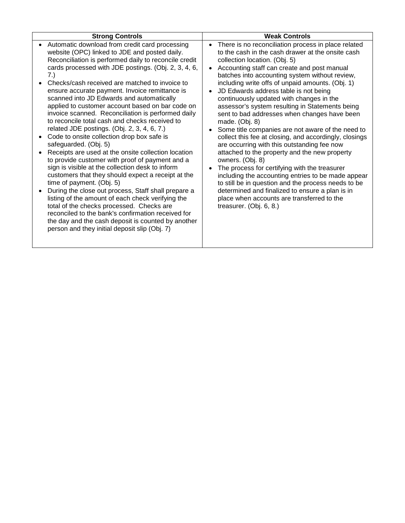| <b>Strong Controls</b>                                                                                                                                                                                                                                                                                                                                                                                                                                                                                                                                                                                                                                                                                                                                                                                                                                                                                                                                                                                                                                                                                                                                                                                                            | <b>Weak Controls</b>                                                                                                                                                                                                                                                                                                                                                                                                                                                                                                                                                                                                                                                                                                                                                                                                                                                                                                                                                                                                                  |
|-----------------------------------------------------------------------------------------------------------------------------------------------------------------------------------------------------------------------------------------------------------------------------------------------------------------------------------------------------------------------------------------------------------------------------------------------------------------------------------------------------------------------------------------------------------------------------------------------------------------------------------------------------------------------------------------------------------------------------------------------------------------------------------------------------------------------------------------------------------------------------------------------------------------------------------------------------------------------------------------------------------------------------------------------------------------------------------------------------------------------------------------------------------------------------------------------------------------------------------|---------------------------------------------------------------------------------------------------------------------------------------------------------------------------------------------------------------------------------------------------------------------------------------------------------------------------------------------------------------------------------------------------------------------------------------------------------------------------------------------------------------------------------------------------------------------------------------------------------------------------------------------------------------------------------------------------------------------------------------------------------------------------------------------------------------------------------------------------------------------------------------------------------------------------------------------------------------------------------------------------------------------------------------|
| Automatic download from credit card processing<br>website (OPC) linked to JDE and posted daily.<br>Reconciliation is performed daily to reconcile credit<br>cards processed with JDE postings. (Obj. 2, 3, 4, 6,<br>7.)<br>Checks/cash received are matched to invoice to<br>ensure accurate payment. Invoice remittance is<br>scanned into JD Edwards and automatically<br>applied to customer account based on bar code on<br>invoice scanned. Reconciliation is performed daily<br>to reconcile total cash and checks received to<br>related JDE postings. (Obj. 2, 3, 4, 6, 7.)<br>Code to onsite collection drop box safe is<br>safeguarded. (Obj. 5)<br>Receipts are used at the onsite collection location<br>to provide customer with proof of payment and a<br>sign is visible at the collection desk to inform<br>customers that they should expect a receipt at the<br>time of payment. (Obj. 5)<br>During the close out process, Staff shall prepare a<br>listing of the amount of each check verifying the<br>total of the checks processed. Checks are<br>reconciled to the bank's confirmation received for<br>the day and the cash deposit is counted by another<br>person and they initial deposit slip (Obj. 7) | There is no reconciliation process in place related<br>to the cash in the cash drawer at the onsite cash<br>collection location. (Obj. 5)<br>Accounting staff can create and post manual<br>batches into accounting system without review,<br>including write offs of unpaid amounts. (Obj. 1)<br>JD Edwards address table is not being<br>continuously updated with changes in the<br>assessor's system resulting in Statements being<br>sent to bad addresses when changes have been<br>made. (Obj. 8)<br>Some title companies are not aware of the need to<br>collect this fee at closing, and accordingly, closings<br>are occurring with this outstanding fee now<br>attached to the property and the new property<br>owners. (Obj. 8)<br>The process for certifying with the treasurer<br>including the accounting entries to be made appear<br>to still be in question and the process needs to be<br>determined and finalized to ensure a plan is in<br>place when accounts are transferred to the<br>treasurer. (Obj. 6, 8.) |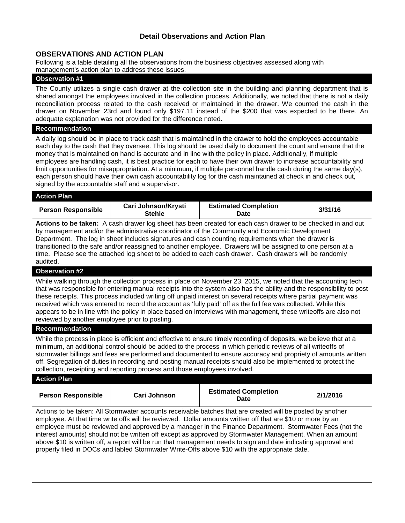## **Detail Observations and Action Plan**

#### **OBSERVATIONS AND ACTION PLAN**

Following is a table detailing all the observations from the business objectives assessed along with management's action plan to address these issues.

#### **Observation #1**

The County utilizes a single cash drawer at the collection site in the building and planning department that is shared amongst the employees involved in the collection process. Additionally, we noted that there is not a daily reconciliation process related to the cash received or maintained in the drawer. We counted the cash in the drawer on November 23rd and found only \$197.11 instead of the \$200 that was expected to be there. An adequate explanation was not provided for the difference noted.

#### **Recommendation**

A daily log should be in place to track cash that is maintained in the drawer to hold the employees accountable each day to the cash that they oversee. This log should be used daily to document the count and ensure that the money that is maintained on hand is accurate and in line with the policy in place. Additionally, if multiple employees are handling cash, it is best practice for each to have their own drawer to increase accountability and limit opportunities for misappropriation. At a minimum, if multiple personnel handle cash during the same day(s), each person should have their own cash accountability log for the cash maintained at check in and check out, signed by the accountable staff and a supervisor.

#### **Action Plan**

| <b>Person Responsible</b>                                                                                                                                                                                                                                                                                                                                                                                                                                                                                                                                                                                                                         | Cari Johnson/Krysti<br><b>Stehle</b> | <b>Estimated Completion</b><br><b>Date</b> | 3/31/16 |  |
|---------------------------------------------------------------------------------------------------------------------------------------------------------------------------------------------------------------------------------------------------------------------------------------------------------------------------------------------------------------------------------------------------------------------------------------------------------------------------------------------------------------------------------------------------------------------------------------------------------------------------------------------------|--------------------------------------|--------------------------------------------|---------|--|
| Actions to be taken: A cash drawer log sheet has been created for each cash drawer to be checked in and out<br>by management and/or the administrative coordinator of the Community and Economic Development<br>Department. The log in sheet includes signatures and cash counting requirements when the drawer is<br>transitioned to the safe and/or reassigned to another employee. Drawers will be assigned to one person at a<br>time. Please see the attached log sheet to be added to each cash drawer. Cash drawers will be randomly<br>audited.                                                                                           |                                      |                                            |         |  |
| <b>Observation #2</b>                                                                                                                                                                                                                                                                                                                                                                                                                                                                                                                                                                                                                             |                                      |                                            |         |  |
| While walking through the collection process in place on November 23, 2015, we noted that the accounting tech<br>that was responsible for entering manual receipts into the system also has the ability and the responsibility to post<br>these receipts. This process included writing off unpaid interest on several receipts where partial payment was<br>received which was entered to record the account as 'fully paid' off as the full fee was collected. While this<br>appears to be in line with the policy in place based on interviews with management, these writeoffs are also not<br>reviewed by another employee prior to posting. |                                      |                                            |         |  |
| <b>Recommendation</b>                                                                                                                                                                                                                                                                                                                                                                                                                                                                                                                                                                                                                             |                                      |                                            |         |  |
| While the process in place is efficient and effective to ensure timely recording of deposits, we believe that at a<br>minimum, an additional control should be added to the process in which periodic reviews of all writeoffs of<br>stormwater billings and fees are performed and documented to ensure accuracy and propriety of amounts written                                                                                                                                                                                                                                                                                                |                                      |                                            |         |  |

stormwater billings and fees are performed and documented to ensure accuracy and propriety of amounts written off. Segregation of duties in recording and posting manual receipts should also be implemented to protect the collection, receipting and reporting process and those employees involved.

# **Action Plan Person Responsible Cari Johnson Estimated Completion Date 2/1/2016**

Actions to be taken: All Stormwater accounts receivable batches that are created will be posted by another employee. At that time write offs will be reviewed. Dollar amounts written off that are \$10 or more by an employee must be reviewed and approved by a manager in the Finance Department. Stormwater Fees (not the interest amounts) should not be written off except as approved by Stormwater Management. When an amount above \$10 is written off, a report will be run that management needs to sign and date indicating approval and properly filed in DOCs and labled Stormwater Write-Offs above \$10 with the appropriate date.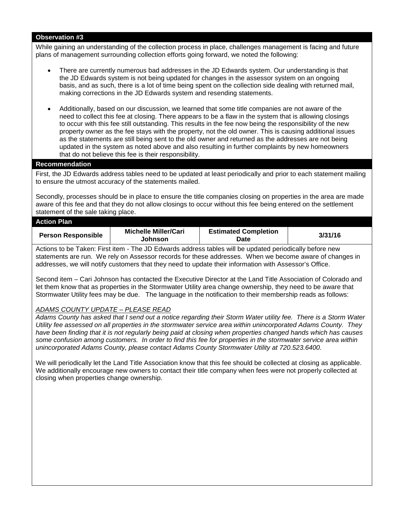#### **Observation #3**

While gaining an understanding of the collection process in place, challenges management is facing and future plans of management surrounding collection efforts going forward, we noted the following:

- There are currently numerous bad addresses in the JD Edwards system. Our understanding is that the JD Edwards system is not being updated for changes in the assessor system on an ongoing basis, and as such, there is a lot of time being spent on the collection side dealing with returned mail, making corrections in the JD Edwards system and resending statements.
- Additionally, based on our discussion, we learned that some title companies are not aware of the need to collect this fee at closing. There appears to be a flaw in the system that is allowing closings to occur with this fee still outstanding. This results in the fee now being the responsibility of the new property owner as the fee stays with the property, not the old owner. This is causing additional issues as the statements are still being sent to the old owner and returned as the addresses are not being updated in the system as noted above and also resulting in further complaints by new homeowners that do not believe this fee is their responsibility.

#### **Recommendation**

First, the JD Edwards address tables need to be updated at least periodically and prior to each statement mailing to ensure the utmost accuracy of the statements mailed.

Secondly, processes should be in place to ensure the title companies closing on properties in the area are made aware of this fee and that they do not allow closings to occur without this fee being entered on the settlement statement of the sale taking place.

| <b>Action Plan</b>        |                                 |                                     |         |
|---------------------------|---------------------------------|-------------------------------------|---------|
| <b>Person Responsible</b> | Michelle Miller/Cari<br>Johnson | <b>Estimated Completion</b><br>Date | 3/31/16 |
|                           |                                 |                                     |         |

Actions to be Taken: First item - The JD Edwards address tables will be updated periodically before new statements are run. We rely on Assessor records for these addresses. When we become aware of changes in addresses, we will notify customers that they need to update their information with Assessor's Office.

Second item – Cari Johnson has contacted the Executive Director at the Land Title Association of Colorado and let them know that as properties in the Stormwater Utility area change ownership, they need to be aware that Stormwater Utility fees may be due. The language in the notification to their membership reads as follows:

#### *ADAMS COUNTY UPDATE – PLEASE READ*

*Adams County has asked that I send out a notice regarding their Storm Water utility fee. There is a Storm Water Utility fee assessed on all properties in the stormwater service area within unincorporated Adams County. They have been finding that it is not regularly being paid at closing when properties changed hands which has causes some confusion among customers. In order to find this fee for properties in the stormwater service area within unincorporated Adams County, please contact Adams County Stormwater Utility at 720.523.6400.*

We will periodically let the Land Title Association know that this fee should be collected at closing as applicable. We additionally encourage new owners to contact their title company when fees were not properly collected at closing when properties change ownership.